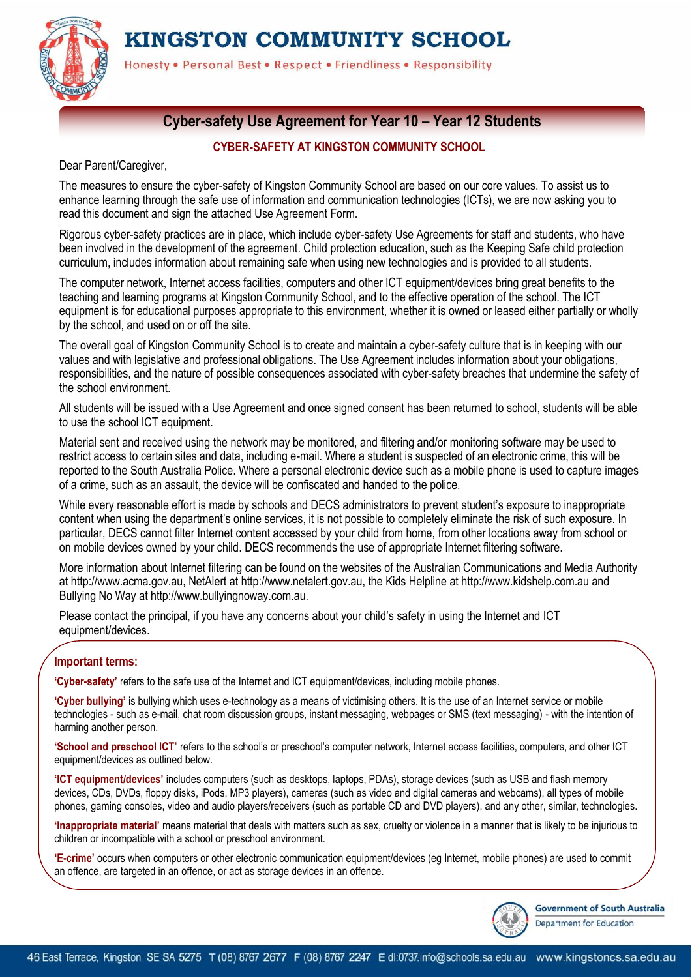KINGSTON COMMUNITY SCHOOL



Honesty . Personal Best . Respect . Friendliness . Responsibility

### **Cyber-safety Use Agreement for Year 10 – Year 12 Students**

### **CYBER-SAFETY AT KINGSTON COMMUNITY SCHOOL**

Dear Parent/Caregiver,

The measures to ensure the cyber-safety of Kingston Community School are based on our core values. To assist us to enhance learning through the safe use of information and communication technologies (ICTs), we are now asking you to read this document and sign the attached Use Agreement Form.

Rigorous cyber-safety practices are in place, which include cyber-safety Use Agreements for staff and students, who have been involved in the development of the agreement. Child protection education, such as the Keeping Safe child protection curriculum, includes information about remaining safe when using new technologies and is provided to all students.

The computer network, Internet access facilities, computers and other ICT equipment/devices bring great benefits to the teaching and learning programs at Kingston Community School, and to the effective operation of the school. The ICT equipment is for educational purposes appropriate to this environment, whether it is owned or leased either partially or wholly by the school, and used on or off the site.

The overall goal of Kingston Community School is to create and maintain a cyber-safety culture that is in keeping with our values and with legislative and professional obligations. The Use Agreement includes information about your obligations, responsibilities, and the nature of possible consequences associated with cyber-safety breaches that undermine the safety of the school environment.

All students will be issued with a Use Agreement and once signed consent has been returned to school, students will be able to use the school ICT equipment.

Material sent and received using the network may be monitored, and filtering and/or monitoring software may be used to restrict access to certain sites and data, including e-mail. Where a student is suspected of an electronic crime, this will be reported to the South Australia Police. Where a personal electronic device such as a mobile phone is used to capture images of a crime, such as an assault, the device will be confiscated and handed to the police.

While every reasonable effort is made by schools and DECS administrators to prevent student's exposure to inappropriate content when using the department's online services, it is not possible to completely eliminate the risk of such exposure. In particular, DECS cannot filter Internet content accessed by your child from home, from other locations away from school or on mobile devices owned by your child. DECS recommends the use of appropriate Internet filtering software.

More information about Internet filtering can be found on the websites of the Australian Communications and Media Authority at http://www.acma.gov.au, NetAlert at http://www.netalert.gov.au, the Kids Helpline at http://www.kidshelp.com.au and Bullying No Way at http://www.bullyingnoway.com.au.

Please contact the principal, if you have any concerns about your child's safety in using the Internet and ICT equipment/devices.

### **Important terms:**

**'Cyber-safety'** refers to the safe use of the Internet and ICT equipment/devices, including mobile phones.

**'Cyber bullying'** is bullying which uses e-technology as a means of victimising others. It is the use of an Internet service or mobile technologies - such as e-mail, chat room discussion groups, instant messaging, webpages or SMS (text messaging) - with the intention of harming another person.

**'School and preschool ICT'** refers to the school's or preschool's computer network, Internet access facilities, computers, and other ICT equipment/devices as outlined below.

**'ICT equipment/devices'** includes computers (such as desktops, laptops, PDAs), storage devices (such as USB and flash memory devices, CDs, DVDs, floppy disks, iPods, MP3 players), cameras (such as video and digital cameras and webcams), all types of mobile phones, gaming consoles, video and audio players/receivers (such as portable CD and DVD players), and any other, similar, technologies.

**'Inappropriate material'** means material that deals with matters such as sex, cruelty or violence in a manner that is likely to be injurious to children or incompatible with a school or preschool environment.

**'E-crime'** occurs when computers or other electronic communication equipment/devices (eg Internet, mobile phones) are used to commit an offence, are targeted in an offence, or act as storage devices in an offence.



**Government of South Australia** Department for Education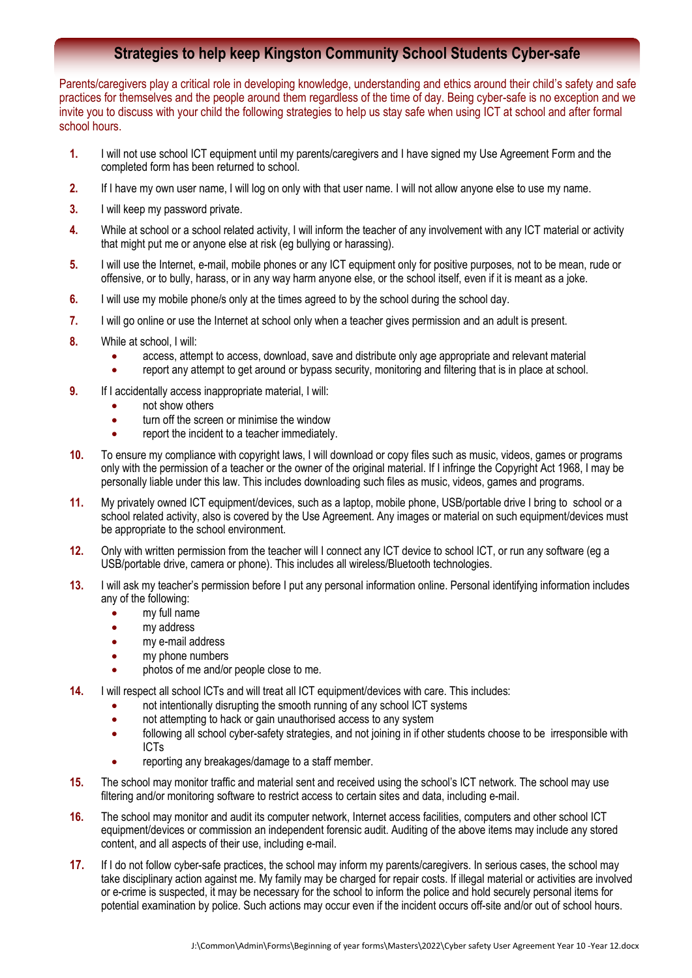### **Strategies to help keep Kingston Community School Students Cyber-safe**

Parents/caregivers play a critical role in developing knowledge, understanding and ethics around their child's safety and safe practices for themselves and the people around them regardless of the time of day. Being cyber-safe is no exception and we invite you to discuss with your child the following strategies to help us stay safe when using ICT at school and after formal school hours.

- **1.** I will not use school ICT equipment until my parents/caregivers and I have signed my Use Agreement Form and the completed form has been returned to school.
- **2.** If I have my own user name, I will log on only with that user name. I will not allow anyone else to use my name.
- **3.** I will keep my password private.
- **4.** While at school or a school related activity, I will inform the teacher of any involvement with any ICT material or activity that might put me or anyone else at risk (eg bullying or harassing).
- **5.** I will use the Internet, e-mail, mobile phones or any ICT equipment only for positive purposes, not to be mean, rude or offensive, or to bully, harass, or in any way harm anyone else, or the school itself, even if it is meant as a joke.
- **6.** I will use my mobile phone/s only at the times agreed to by the school during the school day.
- **7.** I will go online or use the Internet at school only when a teacher gives permission and an adult is present.
- **8.** While at school, I will:
	- access, attempt to access, download, save and distribute only age appropriate and relevant material
	- report any attempt to get around or bypass security, monitoring and filtering that is in place at school.
- **9.** If I accidentally access inappropriate material, I will:
	- not show others
	- turn off the screen or minimise the window
	- report the incident to a teacher immediately.
- **10.** To ensure my compliance with copyright laws, I will download or copy files such as music, videos, games or programs only with the permission of a teacher or the owner of the original material. If I infringe the Copyright Act 1968, I may be personally liable under this law. This includes downloading such files as music, videos, games and programs.
- **11.** My privately owned ICT equipment/devices, such as a laptop, mobile phone, USB/portable drive I bring to school or a school related activity, also is covered by the Use Agreement. Any images or material on such equipment/devices must be appropriate to the school environment.
- **12.** Only with written permission from the teacher will I connect any ICT device to school ICT, or run any software (eg a USB/portable drive, camera or phone). This includes all wireless/Bluetooth technologies.
- **13.** I will ask my teacher's permission before I put any personal information online. Personal identifying information includes any of the following:
	- my full name
	- my address
	- my e-mail address
	- my phone numbers
	- photos of me and/or people close to me.
- **14.** I will respect all school lCTs and will treat all ICT equipment/devices with care. This includes:
	- not intentionally disrupting the smooth running of any school ICT systems
		- not attempting to hack or gain unauthorised access to any system
		- following all school cyber-safety strategies, and not joining in if other students choose to be irresponsible with ICTs
		- reporting any breakages/damage to a staff member.
- **15.** The school may monitor traffic and material sent and received using the school's ICT network. The school may use filtering and/or monitoring software to restrict access to certain sites and data, including e-mail.
- **16.** The school may monitor and audit its computer network, Internet access facilities, computers and other school ICT equipment/devices or commission an independent forensic audit. Auditing of the above items may include any stored content, and all aspects of their use, including e-mail.
- **17.** If I do not follow cyber-safe practices, the school may inform my parents/caregivers. In serious cases, the school may take disciplinary action against me. My family may be charged for repair costs. If illegal material or activities are involved or e-crime is suspected, it may be necessary for the school to inform the police and hold securely personal items for potential examination by police. Such actions may occur even if the incident occurs off-site and/or out of school hours.